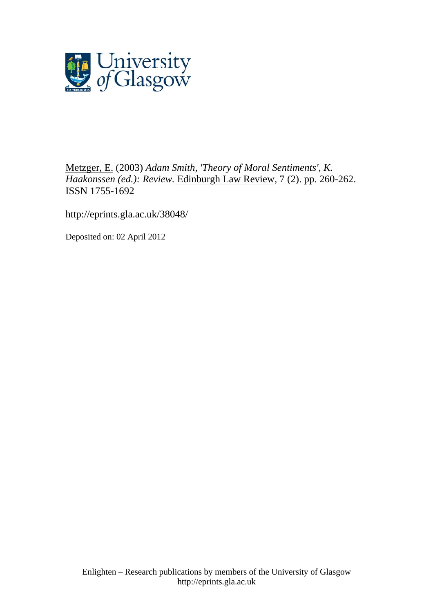

[Metzger, E.](http://eprints.gla.ac.uk/view/author/4869.html) (2003) *Adam Smith, 'Theory of Moral Sentiments', K. Haakonssen (ed.): Review.* [Edinburgh Law Review](http://eprints.gla.ac.uk/view/journal_volume/Edinburgh_Law_Review.html), 7 (2). pp. 260-262. ISSN 1755-1692

<http://eprints.gla.ac.uk/38048/>

Deposited on: 02 April 2012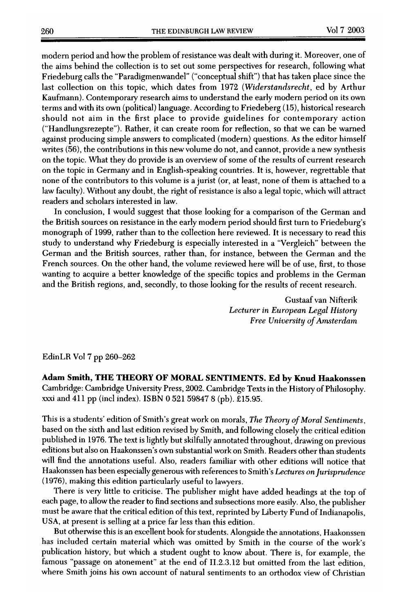modern period and how the problem of resistance was dealt with during it. Moreover, one of the aims behind the collection is to set out some perspectives for research, following what Friedeburg calls the "Paradigmenwandel" ("conceptual shift") that has taken place since the last collection on this topic, which dates from 1972 (Widerstandsrecht, ed by Arthur Kaufmann). Contemporary research aims to understand the early modern period on its own terms and with its own (political) language. According to Friedeberg (15), historical research should not aim in the first place to provide guidelines for contemporary action ("Handlungsrezepte"). Rather, it can create room for reflection, so that we can be warned against producing simple answers to complicated (modern) questions. As the editor himself writes (56), the contributions in this new volume do not, and cannot, provide <sup>a</sup> new synthesis on the topic. What they do provide is an overview of some of the results of current research on the topic in Germany and in English-speaking countries. It is, however, regrettable that none of the contributors to this volume is <sup>a</sup> jurist (or, at least, none of them is attached to <sup>a</sup> law faculty). Without any doubt, the right of resistance is also <sup>a</sup> legal topic, which will attract readers and scholars interested in law.

In conclusion, I would suggest that those looking for <sup>a</sup> comparison of the German and the British sources on resistance in the early modern period should first turn to Friedeburg's monograph of 1999, rather than to the collection here reviewed. It is necessary to read this study to understand why Friedeburg is especially interested in <sup>a</sup> "Vergleich" between the German and the British sources, rather than, for instance, between the German and the French sources. On the other hand, the volume reviewed here will be of use, first, to those wanting to acquire <sup>a</sup> better knowledge of the specific topics and problems in the German and the British regions, and, secondly, to those looking for the results of recent research.

> Gustaaf van Nifterik Lecturer in European Legal History Free University of Amsterdam

EdinLR Vol <sup>7</sup> pp 260-262

Adam Smith, THE THEORY OF MORAL SENTIMENTS. Ed by Knud Haakonssen Cambridge: Cambridge University Press, 2002. Cambridge Texts in the History of Philosophy. xxxi and <sup>411</sup> pp (incl index). ISBN <sup>0</sup> <sup>521</sup> <sup>59847</sup> <sup>8</sup> (pb). £15.95.

This is <sup>a</sup> students' edition of Smith's great work on morals, The Theory of Moral Sentiments, based on the sixth and last edition revised by Smith, and following closely the critical edition published in 1976. The text is lightly but skilfully annotated throughout, drawing on previous editions but also on Haakonssen's own substantial work on Smith. Readers other than students will find the annotations useful. Also, readers familiar with other editions will notice that Haakonssen has been especially generous with references to Smith's Lectures on Jurisprudence (1976), making this edition particularly useful to lawyers.

There is very little to criticise. The publisher might have added headings at the top of each page, to allow the reader to find sections and subsections more easily. Also, the publisher must be aware that the critical edition of this text, reprinted by Liberty Fund of Indianapolis, USA, at present is selling at <sup>a</sup> price far less than this edition.

But otherwise this is an excellent book for students. Alongside the annotations, Haakonssen has included certain material which was omitted by Smith in the course of the work's publication history, but which <sup>a</sup> student ought to know about. There is, for example, the famous "passage on atonement" at the end of II.2.3.12 but omitted from the last edition, where Smith joins his own account of natural sentiments to an orthodox view of Christian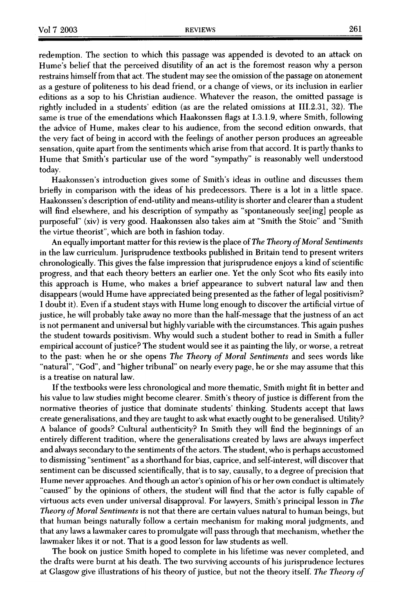redemption. The section to which this passage was appended is devoted to an attack on Hume's belief that the perceived disutility of an act is the foremost reason why <sup>a</sup> person restrains himself from that act. The student may see the omission of the passage on atonement as <sup>a</sup> gesture of politeness to his dead friend, or <sup>a</sup> change of views, or its inclusion in earlier editions as <sup>a</sup> sop to his Christian audience. Whatever the reason, the omitted passage is rightly included in <sup>a</sup> students' edition (as are the related omissions at III.2.31, 32). The same is true of the emendations which Haakonssen flags at 1.3.1.9, where Smith, following the advice of Hume, makes clear to his audience, from the second edition onwards, that the very fact of being in accord with the feelings of another person produces an agreeable sensation, quite apart from the sentiments which arise from that accord. It is partly thanks to Hume that Smith's particular use of the word "sympathy" is reasonably well understood today.

Haakonssen's introduction gives some of Smith's ideas in outline and discusses them briefly in comparison with the ideas of his predecessors. There is <sup>a</sup> lot in <sup>a</sup> little space. Haakonssen's description of end-utility and means-utility is shorter and clearer than a student will find elsewhere, and his description of sympathy as "spontaneously see[ing] people as purposeful" (xiv) is very good. Haakonssen also takes aim at "Smith the Stoic" and "Smith the virtue theorist", which are both in fashion today.

An equally important matter for this review is the place of The Theory of Moral Sentiments in the law curriculum. Jurisprudence textbooks published in Britain tend to present writers chronologically. This gives the false impression that jurisprudence enjoys <sup>a</sup> kind of scientific progress, and that each theory betters an earlier one. Yet the only Scot who fits easily into this approach is Hume, who makes <sup>a</sup> brief appearance to subvert natural law and then disappears (would Hume have appreciated being presented as the father of legal positivism? <sup>I</sup> doubt it). Even if <sup>a</sup> student stays with Hume long enough to discover the artificial virtue of justice, he will probably take away no more than the half-message that the justness of an act is not permanent and universal but highly variable with the circumstances. This again pushes the student towards positivism. Why would such <sup>a</sup> student bother to read in Smith <sup>a</sup> fuller empirical account of justice? The student would see it as painting the lily, or worse, a retreat to the past: when he or she opens The Theory of Moral Sentiments and sees words like "natural", "God", and "higher tribunal" on nearly every page, he or she may assume that this is <sup>a</sup> treatise on natural law.

Ifthe textbooks were less chronological and more thematic, Smith might fit in better and his value to law studies might become clearer. Smith's theory of justice is different from the normative theories of justice that dominate students' thinking. Students accept that laws create generalisations, and they are taught to ask what exactly ought to be generalised. Utility? <sup>A</sup> balance of goods? Cultural authenticity? In Smith they will find the beginnings of an entirely different tradition, where the generalisations created by laws are always imperfect and always secondary to the sentiments of the actors. The student, who is perhaps accustomed to dismissing "sentiment" as <sup>a</sup> shorthand for bias, caprice, and self-interest, will discover that sentiment can be discussed scientifically, that is to say, causally, to <sup>a</sup> degree of precision that Hume never approaches. And though an actor's opinion of his or her own conduct is ultimately "caused" by the opinions of others, the student will find that the actor is fully capable of virtuous acts even under universal disapproval. For lawyers, Smith's principal lesson in The Theory of Moral Sentiments is not that there are certain values natural to human beings, but that human beings naturally follow <sup>a</sup> certain mechanism for making moral judgments, and that any laws <sup>a</sup> lawmaker cares to promulgate will pass through that mechanism, whether the lawmaker likes it or not. That is <sup>a</sup> good lesson for law students as well.

The book on justice Smith hoped to complete in his lifetime was never completed, and the drafts were burnt at his death. The two surviving accounts of his jurisprudence lectures at Glasgow give illustrations of his theory of justice, but not the theory itself. The Theory of